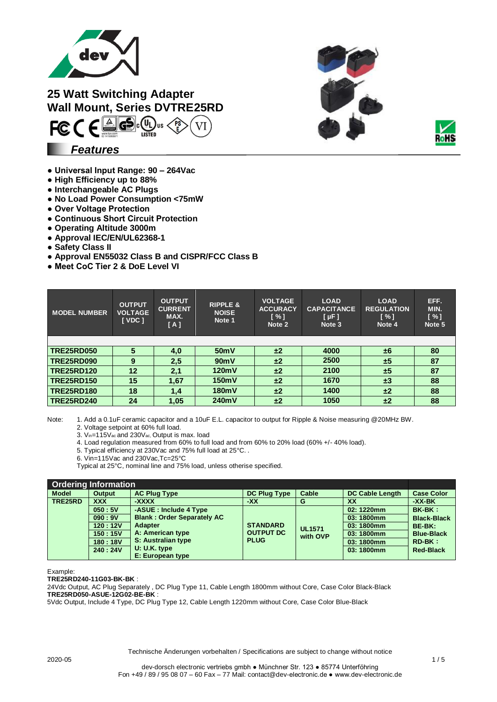

**25 Watt Switching Adapter Wall Mount, Series DVTRE25RD**  $FC \in \bigoplus \bigoplus \bigoplus \limits_{\text{test}} \bigoplus \limits_{\text{test}}$ 





## *Features*

- **Universal Input Range: 90 – 264Vac**
- **High Efficiency up to 88%**
- **Interchangeable AC Plugs**
- **No Load Power Consumption <75mW**
- **Over Voltage Protection**
- **Continuous Short Circuit Protection**
- **Operating Altitude 3000m**
- **Approval IEC/EN/UL62368-1**
- **Safety Class II**
- **Approval EN55032 Class B and CISPR/FCC Class B**
- **Meet CoC Tier 2 & DoE Level VI**

| <b>MODEL NUMBER</b> | <b>OUTPUT</b><br><b>VOLTAGE</b><br><b>I</b> VDC 1 | <b>OUTPUT</b><br><b>CURRENT</b><br>MAX.<br>[A] | <b>RIPPLE &amp;</b><br><b>NOISE</b><br>Note 1 | <b>VOLTAGE</b><br><b>ACCURACY</b><br>$N \sim 1$<br>Note 2 | <b>LOAD</b><br><b>CAPACITANCE</b><br>$[ \mu F ]$<br>Note 3 | <b>LOAD</b><br><b>REGULATION</b><br>$\lceil \% \rceil$<br>Note 4 | EFF.<br>MIN.<br>$\lceil \% \rceil$<br>Note 5 |
|---------------------|---------------------------------------------------|------------------------------------------------|-----------------------------------------------|-----------------------------------------------------------|------------------------------------------------------------|------------------------------------------------------------------|----------------------------------------------|
|                     |                                                   |                                                |                                               |                                                           |                                                            |                                                                  |                                              |
| <b>TRE25RD050</b>   | 5                                                 | 4,0                                            | 50 <sub>m</sub> V                             | ±2                                                        | 4000                                                       | ±6                                                               | 80                                           |
| <b>TRE25RD090</b>   | 9                                                 | 2,5                                            | 90mV                                          | ±2                                                        | 2500                                                       | ±5                                                               | 87                                           |
| <b>TRE25RD120</b>   | 12                                                | 2,1                                            | 120mV                                         | ±2                                                        | 2100                                                       | ±5                                                               | 87                                           |
| <b>TRE25RD150</b>   | 15                                                | 1,67                                           | 150mV                                         | ±2                                                        | 1670                                                       | $\pm 3$                                                          | 88                                           |
| <b>TRE25RD180</b>   | 18                                                | 1,4                                            | 180mV                                         | ±2                                                        | 1400                                                       | ±2                                                               | 88                                           |
| <b>TRE25RD240</b>   | 24                                                | 1,05                                           | 240mV                                         | ±2                                                        | 1050                                                       | ±2                                                               | 88                                           |

Note: 1. Add a 0.1uF ceramic capacitor and a 10uF E.L. capacitor to output for Ripple & Noise measuring @20MHz BW.

2. Voltage setpoint at 60% full load.

3. Vin=115Vac and 230Vac, Output is max. load

4. Load regulation measured from 60% to full load and from 60% to 20% load (60% +/- 40% load).

5. Typical efficiency at 230Vac and 75% full load at 25°C. .

6. Vin=115Vac and 230Vac,Tc=25°C

Typical at 25°C, nominal line and 75% load, unless otherise specified.

| <b>Ordering Information</b> |               |                                   |                                                    |                           |                        |                    |
|-----------------------------|---------------|-----------------------------------|----------------------------------------------------|---------------------------|------------------------|--------------------|
| <b>Model</b>                | <b>Output</b> | <b>AC Plug Type</b>               | <b>DC Plug Type</b>                                | Cable                     | <b>DC Cable Length</b> | <b>Case Color</b>  |
| TRE25RD                     | <b>XXX</b>    | -XXXX                             | -XX                                                | G                         | XX                     | -XX-BK             |
|                             | 050:5V        | -ASUE : Include 4 Type            |                                                    |                           | 02: 1220mm             | <b>BK-BK:</b>      |
|                             | 090:9V        | <b>Blank: Order Separately AC</b> |                                                    |                           | 03:1800mm              | <b>Black-Black</b> |
|                             | 120:12V       | <b>Adapter</b>                    | <b>STANDARD</b><br><b>OUTPUT DC</b><br><b>PLUG</b> | <b>UL1571</b><br>with OVP | 03:1800mm              | BE-BK:             |
|                             | 150:15V       | A: American type                  |                                                    |                           | 03:1800mm              | <b>Blue-Black</b>  |
|                             | 180:18V       | S: Australian type                |                                                    |                           | 03:1800mm              | $RD-BK:$           |
|                             | 240:24V       | $U: U.K.$ type                    |                                                    |                           | 03:1800mm              | <b>Red-Black</b>   |
|                             |               | E: European type                  |                                                    |                           |                        |                    |

Example:

**TRE25RD240-11G03-BK-BK** :

24Vdc Output, AC Plug Separately , DC Plug Type 11, Cable Length 1800mm without Core, Case Color Black-Black **TRE25RD050-ASUE-12G02-BE-BK** :

5Vdc Output, Include 4 Type, DC Plug Type 12, Cable Length 1220mm without Core, Case Color Blue-Black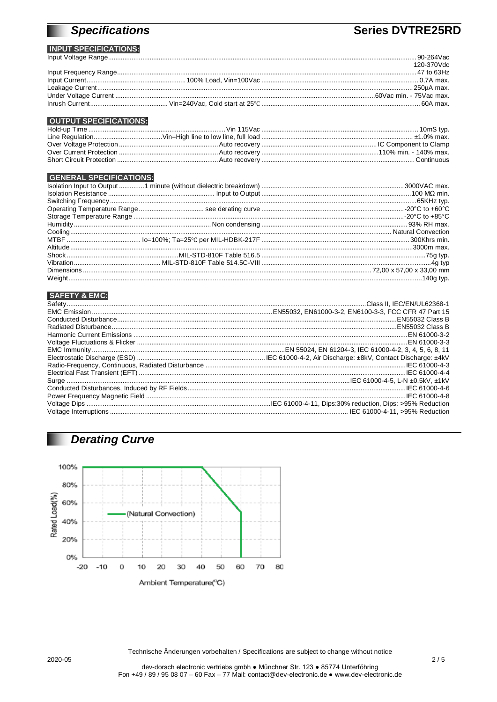## **Specifications**

## **Series DVTRE25RD**

#### **INPUT SPECIFICATIONS:** Input Voltage Range.................

|  | 120-370Vdc |
|--|------------|
|  |            |
|  |            |
|  |            |
|  |            |
|  |            |
|  |            |

### **OUTPUT SPECIFICATIONS:**

#### **GENERAL SPECIFICATIONS:**

### **SAFETY & EMC:**

## **Derating Curve**



Technische Änderungen vorbehalten / Specifications are subject to change without notice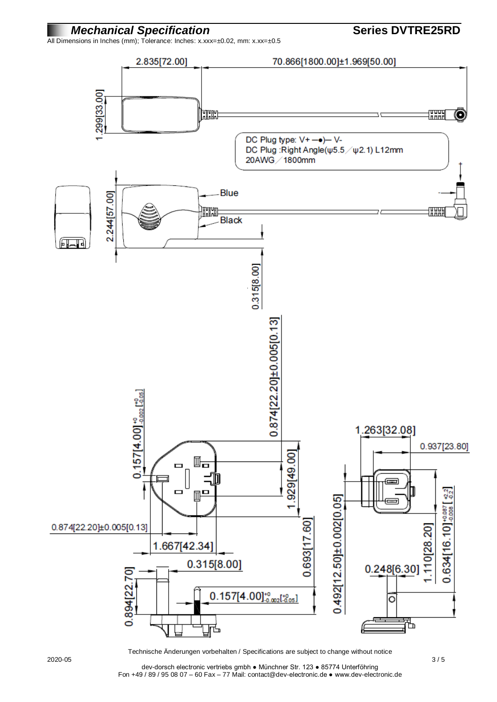

All Dimensions in Inches (mm); Tolerance: Inches: x.xxx=±0.02, mm: x.xx=±0.5



Technische Änderungen vorbehalten / Specifications are subject to change without notice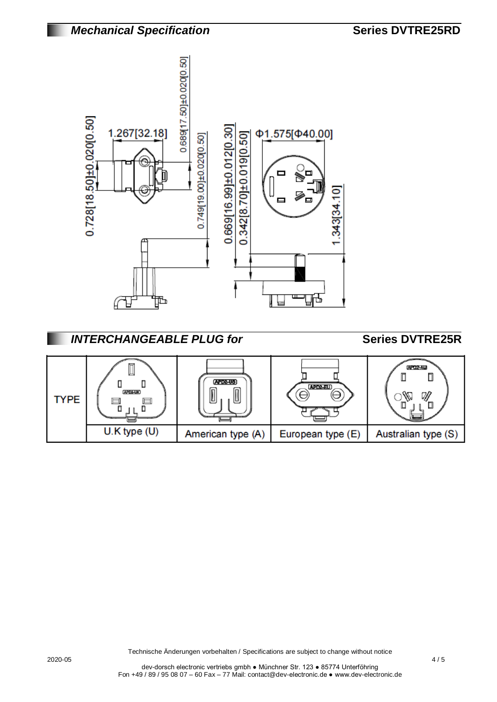

## **INTERCHANGEABLE PLUG for <b>Series DVTRE25R**

| TYPE | щ<br>APD2-UK)    | <b>APD2-US</b><br>ய | APD2-EU)          | (APD2-AU)<br>W      |
|------|------------------|---------------------|-------------------|---------------------|
|      | $U.K$ type $(U)$ | American type (A)   | European type (E) | Australian type (S) |